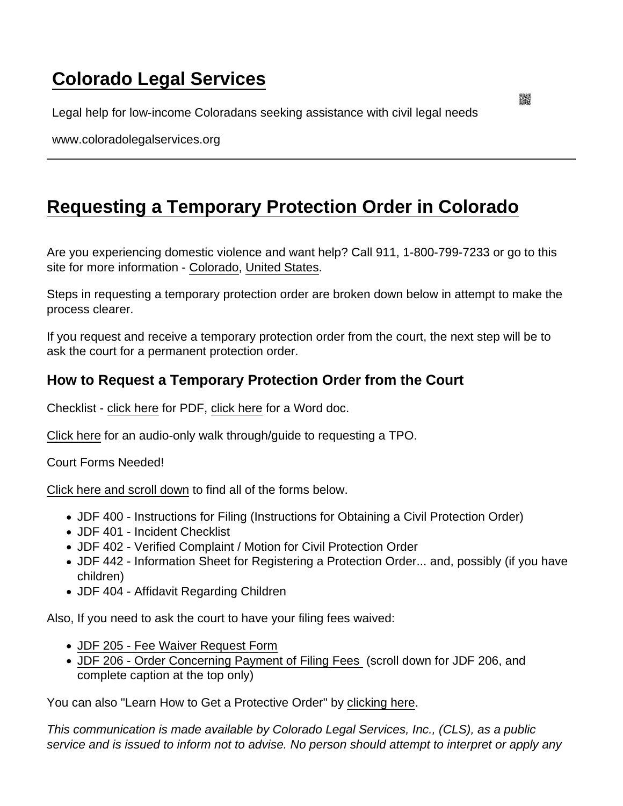## [Colorado Legal Services](https://www.coloradolegalservices.org/)

Legal help for low-income Coloradans seeking assistance with civil legal needs

www.coloradolegalservices.org

## [Requesting a Temporary Protection Order in Colorado](https://www.coloradolegalservices.org/node/49/requesting-temporary-protection-order-colorado)

Are you experiencing domestic violence and want help? Call 911, 1-800-799-7233 or go to this site for more information - [Colorado,](https://www.violencefreecolorado.org/find-help/programs-by-county/) [United States](https://www.thehotline.org/).

Steps in requesting a temporary protection order are broken down below in attempt to make the process clearer.

If you request and receive a temporary protection order from the court, the next step will be to ask the court for a permanent protection order.

## How to Request a Temporary Protection Order from the Court

Checklist - [click here](http://users.frii.com/cls/final_TROchecklist.pdf) for PDF, [click here](http://users.frii.com/cls/?C=M;O=D/final_TROchecklist.docx) for a Word doc.

[Click here](https://youtu.be/CM9F68a1yhU) for an audio-only walk through/guide to requesting a TPO.

Court Forms Needed!

[Click here and scroll down](http://www.courts.state.co.us/Forms/Forms_List.cfm?Form_Type_ID=24) to find all of the forms below.

- JDF 400 Instructions for Filing (Instructions for Obtaining a Civil Protection Order)
- JDF 401 Incident Checklist
- JDF 402 Verified Complaint / Motion for Civil Protection Order
- JDF 442 Information Sheet for Registering a Protection Order... and, possibly (if you have children)
- JDF 404 Affidavit Regarding Children

Also, If you need to ask the court to have your filing fees waived:

- [JDF 205 Fee Waiver Request Form](http://www.courts.state.co.us/Forms/renderForm1.cfm?Form=142)
- [JDF 206 Order Concerning Payment of Filing Fees](https://www.courts.state.co.us/Forms/Forms_List.cfm?Form_Type_ID=119) (scroll down for JDF 206, and complete caption at the top only)

You can also "Learn How to Get a Protective Order" by [clicking here](http://www.coloradolegalhelpcenter.us/topics/72/resources/762).

This communication is made available by Colorado Legal Services, Inc., (CLS), as a public service and is issued to inform not to advise. No person should attempt to interpret or apply any